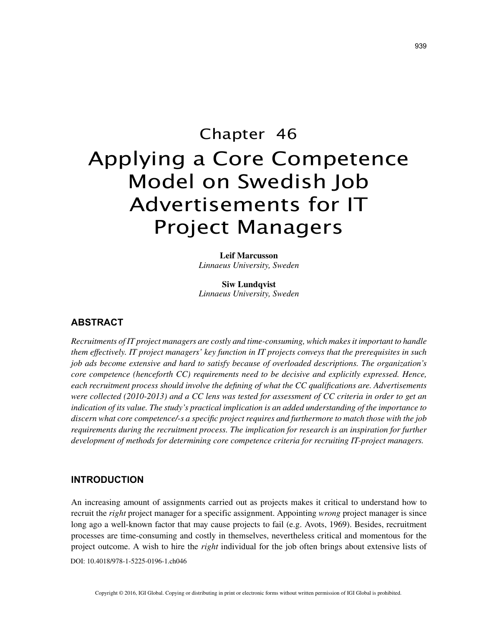# Chapter 46 Applying a Core Competence Model on Swedish Job Advertisements for IT Project Managers

**Leif Marcusson** *Linnaeus University, Sweden*

**Siw Lundqvist** *Linnaeus University, Sweden*

# **ABSTRACT**

*Recruitments of IT project managers are costly and time-consuming, which makes it important to handle them effectively. IT project managers' key function in IT projects conveys that the prerequisites in such job ads become extensive and hard to satisfy because of overloaded descriptions. The organization's core competence (henceforth CC) requirements need to be decisive and explicitly expressed. Hence, each recruitment process should involve the defining of what the CC qualifications are. Advertisements were collected (2010-2013) and a CC lens was tested for assessment of CC criteria in order to get an indication of its value. The study's practical implication is an added understanding of the importance to discern what core competence/-s a specific project requires and furthermore to match those with the job requirements during the recruitment process. The implication for research is an inspiration for further development of methods for determining core competence criteria for recruiting IT-project managers.*

# **INTRODUCTION**

DOI: 10.4018/978-1-5225-0196-1.ch046 An increasing amount of assignments carried out as projects makes it critical to understand how to recruit the *right* project manager for a specific assignment. Appointing *wrong* project manager is since long ago a well-known factor that may cause projects to fail (e.g. Avots, 1969). Besides, recruitment processes are time-consuming and costly in themselves, nevertheless critical and momentous for the project outcome. A wish to hire the *right* individual for the job often brings about extensive lists of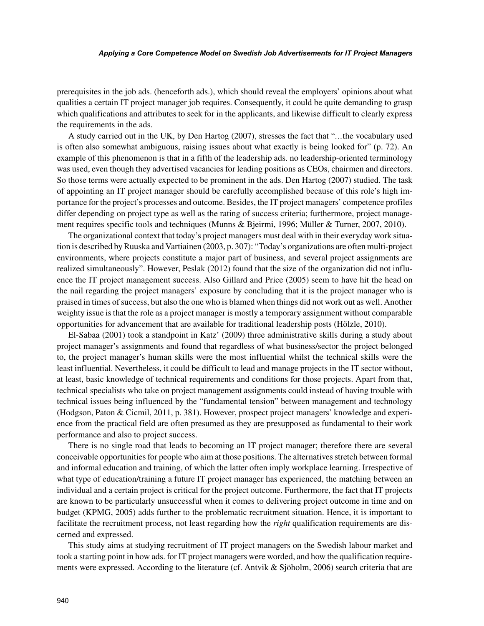#### *Applying a Core Competence Model on Swedish Job Advertisements for IT Project Managers*

prerequisites in the job ads. (henceforth ads.), which should reveal the employers' opinions about what qualities a certain IT project manager job requires. Consequently, it could be quite demanding to grasp which qualifications and attributes to seek for in the applicants, and likewise difficult to clearly express the requirements in the ads.

A study carried out in the UK, by Den Hartog (2007), stresses the fact that "*…*the vocabulary used is often also somewhat ambiguous, raising issues about what exactly is being looked for" (p. 72). An example of this phenomenon is that in a fifth of the leadership ads. no leadership-oriented terminology was used, even though they advertised vacancies for leading positions as CEOs, chairmen and directors. So those terms were actually expected to be prominent in the ads. Den Hartog (2007) studied. The task of appointing an IT project manager should be carefully accomplished because of this role's high importance for the project's processes and outcome. Besides, the IT project managers' competence profiles differ depending on project type as well as the rating of success criteria; furthermore, project management requires specific tools and techniques (Munns & Bjeirmi, 1996; Müller & Turner, 2007, 2010).

The organizational context that today's project managers must deal with in their everyday work situation is described by Ruuska and Vartiainen (2003, p. 307): "Today's organizations are often multi-project environments, where projects constitute a major part of business, and several project assignments are realized simultaneously". However, Peslak (2012) found that the size of the organization did not influence the IT project management success. Also Gillard and Price (2005) seem to have hit the head on the nail regarding the project managers' exposure by concluding that it is the project manager who is praised in times of success, but also the one who is blamed when things did not work out as well. Another weighty issue is that the role as a project manager is mostly a temporary assignment without comparable opportunities for advancement that are available for traditional leadership posts (Hölzle, 2010).

El-Sabaa (2001) took a standpoint in Katz' (2009) three administrative skills during a study about project manager's assignments and found that regardless of what business/sector the project belonged to, the project manager's human skills were the most influential whilst the technical skills were the least influential. Nevertheless, it could be difficult to lead and manage projects in the IT sector without, at least, basic knowledge of technical requirements and conditions for those projects. Apart from that, technical specialists who take on project management assignments could instead of having trouble with technical issues being influenced by the "fundamental tension" between management and technology (Hodgson, Paton & Cicmil, 2011, p. 381). However, prospect project managers' knowledge and experience from the practical field are often presumed as they are presupposed as fundamental to their work performance and also to project success.

There is no single road that leads to becoming an IT project manager; therefore there are several conceivable opportunities for people who aim at those positions. The alternatives stretch between formal and informal education and training, of which the latter often imply workplace learning. Irrespective of what type of education/training a future IT project manager has experienced, the matching between an individual and a certain project is critical for the project outcome. Furthermore, the fact that IT projects are known to be particularly unsuccessful when it comes to delivering project outcome in time and on budget (KPMG, 2005) adds further to the problematic recruitment situation. Hence, it is important to facilitate the recruitment process, not least regarding how the *right* qualification requirements are discerned and expressed.

This study aims at studying recruitment of IT project managers on the Swedish labour market and took a starting point in how ads. for IT project managers were worded, and how the qualification requirements were expressed. According to the literature (cf. Antvik & Sjöholm, 2006) search criteria that are